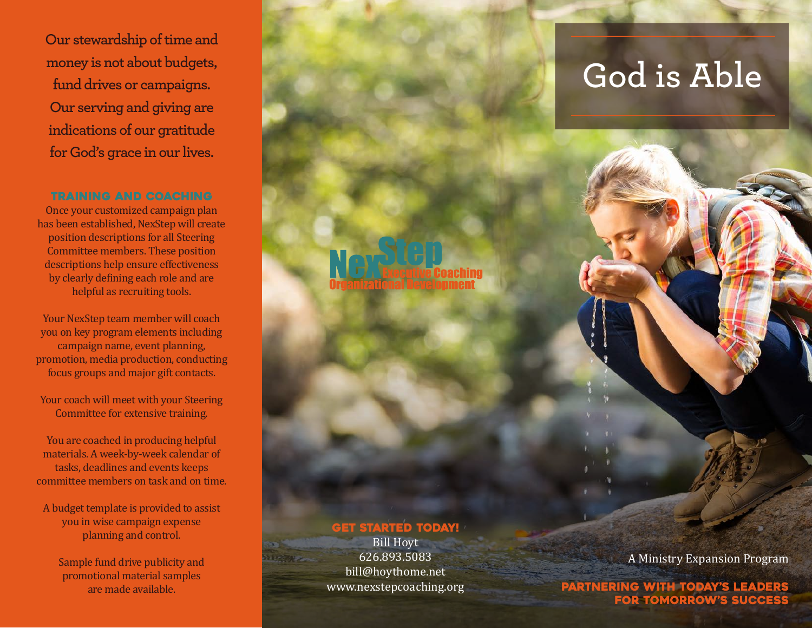**Our stewardship of time and money is not about budgets, fund drives or campaigns. Our serving and giving are indications of our gratitude for God's grace in our lives.** 

## Training and Coaching

Once your customized campaign plan has been established, NexStep will create position descriptions for all Steering Committee members. These position descriptions help ensure effectiveness by clearly defining each role and are helpful as recruiting tools.

Your NexStep team member will coach you on key program elements including campaign name, event planning, promotion, media production, conducting focus groups and major gift contacts.

Your coach will meet with your Steering Committee for extensive training.

You are coached in producing helpful materials. A week-by-week calendar of tasks, deadlines and events keeps committee members on task and on time.

A budget template is provided to assist you in wise campaign expense planning and control.

Sample fund drive publicity and promotional material samples are made available.

## **GET STARTED TODAY!**

Bill Hoyt 626.893.5083 bill@hoythome.net www.nexstepcoaching.org

# **God is Able**

A Ministry Expansion Program

Partnering with today's leaders for tomorrow's success